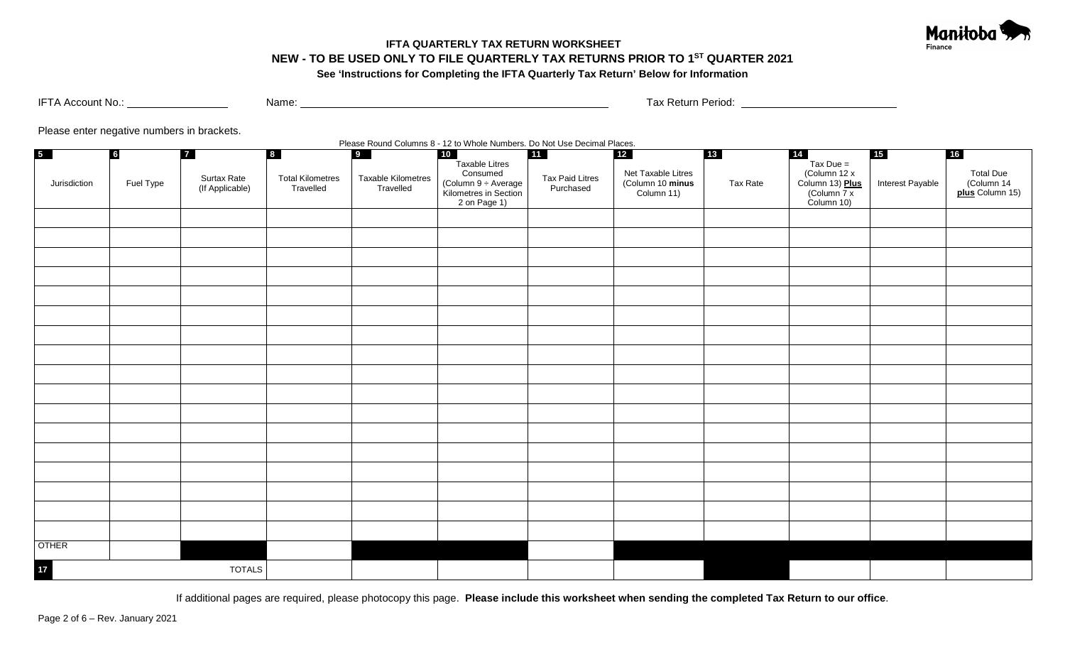

# **IFTA QUARTERLY TAX RETURN WORKSHEET NEW - TO BE USED ONLY TO FILE QUARTERLY TAX RETURNS PRIOR TO 1ST QUARTER 2021 See 'Instructions for Completing the IFTA Quarterly Tax Return' Below for Information**

IFTA Account No.: Name: Name: Name: Name: Name: Name: Name: Name: Name: Name: Name: Name: Name: Name: Name: Name: Name: Name: Name: Name: Name: Name: Name: Name: Name: Name: Name: Name: Name: Name: Name: Name: Name: Name:

Please enter negative numbers in brackets.

Please Round Columns 8 - 12 to Whole Numbers. Do Not Use Decimal Places.

| 5 <sub>1</sub> | $6\overline{6}$ | $\overline{7}$                 | $\begin{array}{ c c } \hline 8 \\ \hline \end{array}$ | 9                               | 10<br>Taxable Litres                                                    | 11                                  | $12$                                                 |          | 14                                                                               | 15               | $\boxed{16}$                                       |
|----------------|-----------------|--------------------------------|-------------------------------------------------------|---------------------------------|-------------------------------------------------------------------------|-------------------------------------|------------------------------------------------------|----------|----------------------------------------------------------------------------------|------------------|----------------------------------------------------|
| Jurisdiction   | Fuel Type       | Surtax Rate<br>(If Applicable) | <b>Total Kilometres</b><br>Travelled                  | Taxable Kilometres<br>Travelled | Consumed<br>Column 9 ÷ Average<br>Kilometres in Section<br>2 on Page 1) | <b>Tax Paid Litres</b><br>Purchased | Net Taxable Litres<br>(Column 10 minus<br>Column 11) | Tax Rate | Tax Due =<br>(Column 12 x<br>Column 13) <b>Plus</b><br>(Column 7 x<br>Column 10) | Interest Payable | Total Due<br>(Column 14)<br><b>plus</b> Column 15) |
|                |                 |                                |                                                       |                                 |                                                                         |                                     |                                                      |          |                                                                                  |                  |                                                    |
|                |                 |                                |                                                       |                                 |                                                                         |                                     |                                                      |          |                                                                                  |                  |                                                    |
|                |                 |                                |                                                       |                                 |                                                                         |                                     |                                                      |          |                                                                                  |                  |                                                    |
|                |                 |                                |                                                       |                                 |                                                                         |                                     |                                                      |          |                                                                                  |                  |                                                    |
|                |                 |                                |                                                       |                                 |                                                                         |                                     |                                                      |          |                                                                                  |                  |                                                    |
|                |                 |                                |                                                       |                                 |                                                                         |                                     |                                                      |          |                                                                                  |                  |                                                    |
|                |                 |                                |                                                       |                                 |                                                                         |                                     |                                                      |          |                                                                                  |                  |                                                    |
|                |                 |                                |                                                       |                                 |                                                                         |                                     |                                                      |          |                                                                                  |                  |                                                    |
|                |                 |                                |                                                       |                                 |                                                                         |                                     |                                                      |          |                                                                                  |                  |                                                    |
|                |                 |                                |                                                       |                                 |                                                                         |                                     |                                                      |          |                                                                                  |                  |                                                    |
|                |                 |                                |                                                       |                                 |                                                                         |                                     |                                                      |          |                                                                                  |                  |                                                    |
|                |                 |                                |                                                       |                                 |                                                                         |                                     |                                                      |          |                                                                                  |                  |                                                    |
|                |                 |                                |                                                       |                                 |                                                                         |                                     |                                                      |          |                                                                                  |                  |                                                    |
|                |                 |                                |                                                       |                                 |                                                                         |                                     |                                                      |          |                                                                                  |                  |                                                    |
|                |                 |                                |                                                       |                                 |                                                                         |                                     |                                                      |          |                                                                                  |                  |                                                    |
|                |                 |                                |                                                       |                                 |                                                                         |                                     |                                                      |          |                                                                                  |                  |                                                    |
|                |                 |                                |                                                       |                                 |                                                                         |                                     |                                                      |          |                                                                                  |                  |                                                    |
| <b>OTHER</b>   |                 |                                |                                                       |                                 |                                                                         |                                     |                                                      |          |                                                                                  |                  |                                                    |
| $17$           |                 | <b>TOTALS</b>                  |                                                       |                                 |                                                                         |                                     |                                                      |          |                                                                                  |                  |                                                    |

If additional pages are required, please photocopy this page. **Please include this worksheet when sending the completed Tax Return to our office**.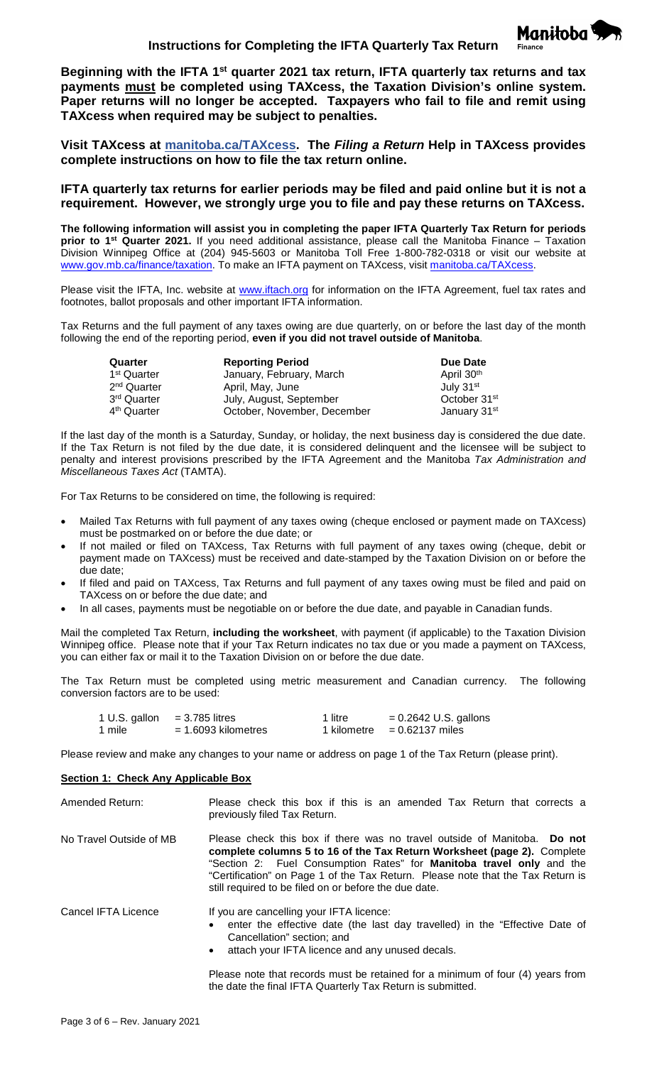Manitoba<sup></sup>

**Beginning with the IFTA 1st quarter 2021 tax return, IFTA quarterly tax returns and tax payments must be completed using TAXcess, the Taxation Division's online system. Paper returns will no longer be accepted. Taxpayers who fail to file and remit using TAXcess when required may be subject to penalties.** 

**Visit TAXcess at [manitoba.ca/TAXcess.](https://taxcess.gov.mb.ca/) The** *Filing a Return* **Help in TAXcess provides complete instructions on how to file the tax return online.**

**IFTA quarterly tax returns for earlier periods may be filed and paid online but it is not a requirement. However, we strongly urge you to file and pay these returns on TAXcess.**

**The following information will assist you in completing the paper IFTA Quarterly Tax Return for periods prior to 1st Quarter 2021.** If you need additional assistance, please call the Manitoba Finance – Taxation Division Winnipeg Office at (204) 945-5603 or Manitoba Toll Free 1-800-782-0318 or visit our website at [www.gov.mb.ca/finance/taxation.](http://www.gov.mb.ca/finance/taxation) To make an IFTA payment on TAXcess, visit [manitoba.ca/TAXcess.](https://taxcess.gov.mb.ca/)

Please visit the IFTA, Inc. website at [www.iftach.org](http://www.iftach.org/) for information on the IFTA Agreement, fuel tax rates and footnotes, ballot proposals and other important IFTA information.

Tax Returns and the full payment of any taxes owing are due quarterly, on or before the last day of the month following the end of the reporting period, **even if you did not travel outside of Manitoba**.

| Quarter                 | <b>Reporting Period</b>     | Due Date                 |
|-------------------------|-----------------------------|--------------------------|
| 1 <sup>st</sup> Quarter | January, February, March    | April 30 <sup>th</sup>   |
| 2 <sup>nd</sup> Quarter | April, May, June            | July 31 <sup>st</sup>    |
| 3 <sup>rd</sup> Quarter | July, August, September     | October 31 <sup>st</sup> |
| 4 <sup>th</sup> Quarter | October, November, December | January 31 <sup>st</sup> |

If the last day of the month is a Saturday, Sunday, or holiday, the next business day is considered the due date. If the Tax Return is not filed by the due date, it is considered delinquent and the licensee will be subject to penalty and interest provisions prescribed by the IFTA Agreement and the Manitoba *Tax Administration and Miscellaneous Taxes Act* (TAMTA).

For Tax Returns to be considered on time, the following is required:

- Mailed Tax Returns with full payment of any taxes owing (cheque enclosed or payment made on TAXcess) must be postmarked on or before the due date; or
- If not mailed or filed on TAXcess, Tax Returns with full payment of any taxes owing (cheque, debit or payment made on TAXcess) must be received and date-stamped by the Taxation Division on or before the due date;
- If filed and paid on TAXcess, Tax Returns and full payment of any taxes owing must be filed and paid on TAXcess on or before the due date; and
- In all cases, payments must be negotiable on or before the due date, and payable in Canadian funds.

Mail the completed Tax Return, **including the worksheet**, with payment (if applicable) to the Taxation Division Winnipeg office. Please note that if your Tax Return indicates no tax due or you made a payment on TAXcess, you can either fax or mail it to the Taxation Division on or before the due date.

The Tax Return must be completed using metric measurement and Canadian currency. The following conversion factors are to be used:

| 1 U.S. gallon | $=$ 3.785 litres      | 1 litre     | $= 0.2642$ U.S. gallons |
|---------------|-----------------------|-------------|-------------------------|
| 1 mile        | $= 1.6093$ kilometres | 1 kilometre | $= 0.62137$ miles       |

Please review and make any changes to your name or address on page 1 of the Tax Return (please print).

## **Section 1: Check Any Applicable Box**

| Amended Return:         | Please check this box if this is an amended Tax Return that corrects a<br>previously filed Tax Return.                                                                                                                                                                                                                                                                         |
|-------------------------|--------------------------------------------------------------------------------------------------------------------------------------------------------------------------------------------------------------------------------------------------------------------------------------------------------------------------------------------------------------------------------|
| No Travel Outside of MB | Please check this box if there was no travel outside of Manitoba. Do not<br>complete columns 5 to 16 of the Tax Return Worksheet (page 2). Complete<br>"Section 2: Fuel Consumption Rates" for <b>Manitoba travel only</b> and the<br>"Certification" on Page 1 of the Tax Return. Please note that the Tax Return is<br>still required to be filed on or before the due date. |

| Cancel IFTA Licence | If you are cancelling your IFTA licence:<br>• enter the effective date (the last day travelled) in the "Effective Date of<br>Cancellation" section; and<br>attach your IFTA licence and any unused decals. |
|---------------------|------------------------------------------------------------------------------------------------------------------------------------------------------------------------------------------------------------|
|                     | Please note that records must be retained for a minimum of four (4) years from<br>the date the final IFTA Quarterly Tax Return is submitted.                                                               |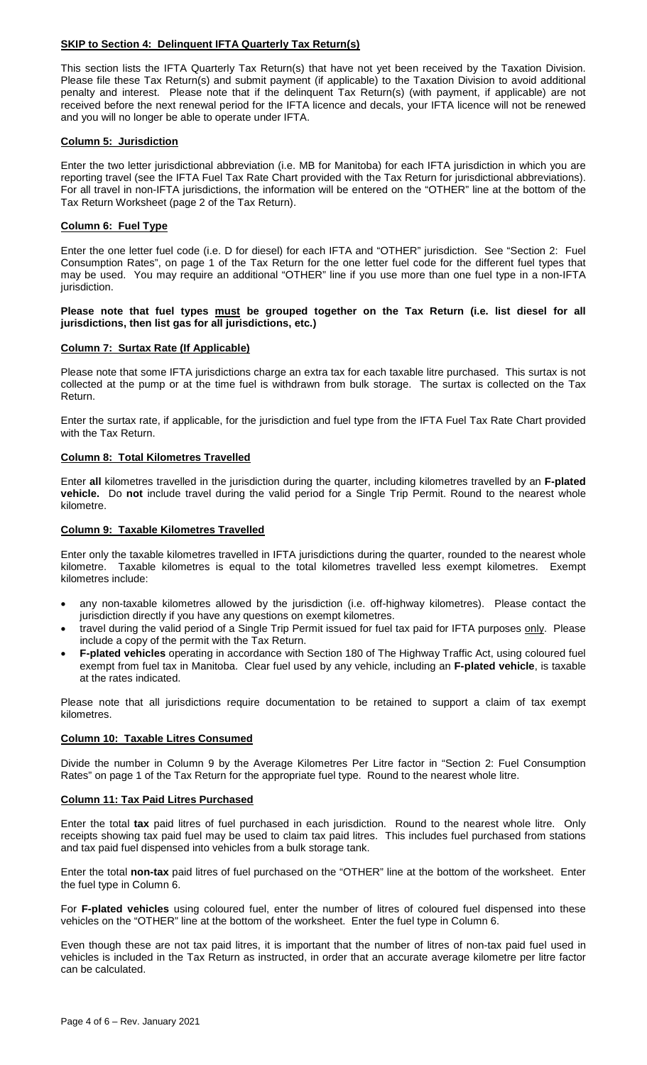## **SKIP to Section 4: Delinquent IFTA Quarterly Tax Return(s)**

This section lists the IFTA Quarterly Tax Return(s) that have not yet been received by the Taxation Division. Please file these Tax Return(s) and submit payment (if applicable) to the Taxation Division to avoid additional penalty and interest. Please note that if the delinquent Tax Return(s) (with payment, if applicable) are not received before the next renewal period for the IFTA licence and decals, your IFTA licence will not be renewed and you will no longer be able to operate under IFTA.

## **Column 5: Jurisdiction**

Enter the two letter jurisdictional abbreviation (i.e. MB for Manitoba) for each IFTA jurisdiction in which you are reporting travel (see the IFTA Fuel Tax Rate Chart provided with the Tax Return for jurisdictional abbreviations). For all travel in non-IFTA jurisdictions, the information will be entered on the "OTHER" line at the bottom of the Tax Return Worksheet (page 2 of the Tax Return).

### **Column 6: Fuel Type**

Enter the one letter fuel code (i.e. D for diesel) for each IFTA and "OTHER" jurisdiction. See "Section 2: Fuel Consumption Rates", on page 1 of the Tax Return for the one letter fuel code for the different fuel types that may be used. You may require an additional "OTHER" line if you use more than one fuel type in a non-IFTA jurisdiction.

#### **Please note that fuel types must be grouped together on the Tax Return (i.e. list diesel for all jurisdictions, then list gas for all jurisdictions, etc.)**

### **Column 7: Surtax Rate (If Applicable)**

Please note that some IFTA jurisdictions charge an extra tax for each taxable litre purchased. This surtax is not collected at the pump or at the time fuel is withdrawn from bulk storage. The surtax is collected on the Tax Return.

Enter the surtax rate, if applicable, for the jurisdiction and fuel type from the IFTA Fuel Tax Rate Chart provided with the Tax Return.

### **Column 8: Total Kilometres Travelled**

Enter **all** kilometres travelled in the jurisdiction during the quarter, including kilometres travelled by an **F-plated vehicle.** Do **not** include travel during the valid period for a Single Trip Permit. Round to the nearest whole kilometre.

### **Column 9: Taxable Kilometres Travelled**

Enter only the taxable kilometres travelled in IFTA jurisdictions during the quarter, rounded to the nearest whole kilometre. Taxable kilometres is equal to the total kilometres travelled less exempt kilometres. Exempt kilometres include:

- any non-taxable kilometres allowed by the jurisdiction (i.e. off-highway kilometres). Please contact the jurisdiction directly if you have any questions on exempt kilometres.
- travel during the valid period of a Single Trip Permit issued for fuel tax paid for IFTA purposes only. Please include a copy of the permit with the Tax Return.
- **F-plated vehicles** operating in accordance with Section 180 of The Highway Traffic Act, using coloured fuel exempt from fuel tax in Manitoba. Clear fuel used by any vehicle, including an **F-plated vehicle**, is taxable at the rates indicated.

Please note that all jurisdictions require documentation to be retained to support a claim of tax exempt kilometres.

### **Column 10: Taxable Litres Consumed**

Divide the number in Column 9 by the Average Kilometres Per Litre factor in "Section 2: Fuel Consumption Rates" on page 1 of the Tax Return for the appropriate fuel type. Round to the nearest whole litre.

#### **Column 11: Tax Paid Litres Purchased**

Enter the total **tax** paid litres of fuel purchased in each jurisdiction. Round to the nearest whole litre. Only receipts showing tax paid fuel may be used to claim tax paid litres. This includes fuel purchased from stations and tax paid fuel dispensed into vehicles from a bulk storage tank.

Enter the total **non-tax** paid litres of fuel purchased on the "OTHER" line at the bottom of the worksheet. Enter the fuel type in Column 6.

For **F-plated vehicles** using coloured fuel, enter the number of litres of coloured fuel dispensed into these vehicles on the "OTHER" line at the bottom of the worksheet. Enter the fuel type in Column 6.

Even though these are not tax paid litres, it is important that the number of litres of non-tax paid fuel used in vehicles is included in the Tax Return as instructed, in order that an accurate average kilometre per litre factor can be calculated.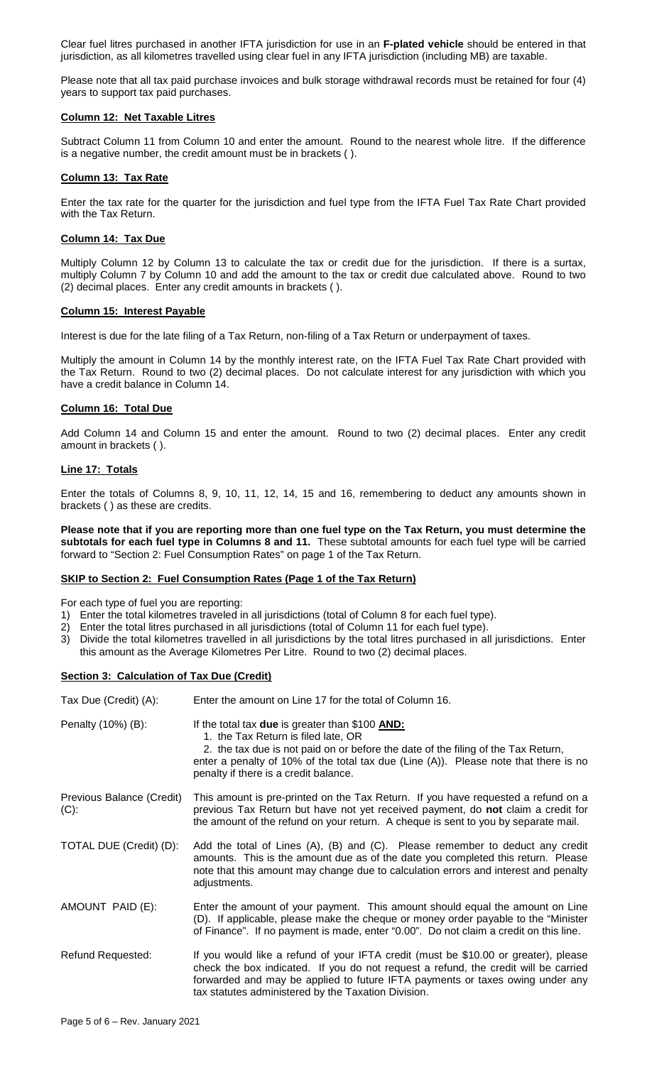Clear fuel litres purchased in another IFTA jurisdiction for use in an **F-plated vehicle** should be entered in that jurisdiction, as all kilometres travelled using clear fuel in any IFTA jurisdiction (including MB) are taxable.

Please note that all tax paid purchase invoices and bulk storage withdrawal records must be retained for four (4) years to support tax paid purchases.

## **Column 12: Net Taxable Litres**

Subtract Column 11 from Column 10 and enter the amount. Round to the nearest whole litre. If the difference is a negative number, the credit amount must be in brackets ( ).

### **Column 13: Tax Rate**

Enter the tax rate for the quarter for the jurisdiction and fuel type from the IFTA Fuel Tax Rate Chart provided with the Tax Return.

## **Column 14: Tax Due**

Multiply Column 12 by Column 13 to calculate the tax or credit due for the jurisdiction. If there is a surtax, multiply Column 7 by Column 10 and add the amount to the tax or credit due calculated above. Round to two (2) decimal places. Enter any credit amounts in brackets ( ).

#### **Column 15: Interest Payable**

Interest is due for the late filing of a Tax Return, non-filing of a Tax Return or underpayment of taxes.

Multiply the amount in Column 14 by the monthly interest rate, on the IFTA Fuel Tax Rate Chart provided with the Tax Return. Round to two (2) decimal places. Do not calculate interest for any jurisdiction with which you have a credit balance in Column 14.

#### **Column 16: Total Due**

Add Column 14 and Column 15 and enter the amount. Round to two (2) decimal places. Enter any credit amount in brackets ( ).

#### **Line 17: Totals**

Enter the totals of Columns 8, 9, 10, 11, 12, 14, 15 and 16, remembering to deduct any amounts shown in brackets ( ) as these are credits.

**Please note that if you are reporting more than one fuel type on the Tax Return, you must determine the subtotals for each fuel type in Columns 8 and 11.** These subtotal amounts for each fuel type will be carried forward to "Section 2: Fuel Consumption Rates" on page 1 of the Tax Return.

#### **SKIP to Section 2: Fuel Consumption Rates (Page 1 of the Tax Return)**

For each type of fuel you are reporting:

- 1) Enter the total kilometres traveled in all jurisdictions (total of Column 8 for each fuel type).
- 2) Enter the total litres purchased in all jurisdictions (total of Column 11 for each fuel type).
- 3) Divide the total kilometres travelled in all jurisdictions by the total litres purchased in all jurisdictions. Enter this amount as the Average Kilometres Per Litre. Round to two (2) decimal places.

### **Section 3: Calculation of Tax Due (Credit)**

| Tax Due (Credit) (A):                | Enter the amount on Line 17 for the total of Column 16.                                                                                                                                                                                                                                                            |
|--------------------------------------|--------------------------------------------------------------------------------------------------------------------------------------------------------------------------------------------------------------------------------------------------------------------------------------------------------------------|
| Penalty (10%) (B):                   | If the total tax due is greater than \$100 AND:<br>1. the Tax Return is filed late, OR<br>2. the tax due is not paid on or before the date of the filing of the Tax Return,<br>enter a penalty of 10% of the total tax due (Line $(A)$ ). Please note that there is no<br>penalty if there is a credit balance.    |
| Previous Balance (Credit)<br>$(C)$ : | This amount is pre-printed on the Tax Return. If you have requested a refund on a<br>previous Tax Return but have not yet received payment, do not claim a credit for<br>the amount of the refund on your return. A cheque is sent to you by separate mail.                                                        |
| TOTAL DUE (Credit) (D):              | Add the total of Lines (A), (B) and (C). Please remember to deduct any credit<br>amounts. This is the amount due as of the date you completed this return. Please<br>note that this amount may change due to calculation errors and interest and penalty<br>adjustments.                                           |
| AMOUNT PAID (E):                     | Enter the amount of your payment. This amount should equal the amount on Line<br>(D). If applicable, please make the cheque or money order payable to the "Minister"<br>of Finance". If no payment is made, enter "0.00". Do not claim a credit on this line.                                                      |
| <b>Refund Requested:</b>             | If you would like a refund of your IFTA credit (must be \$10.00 or greater), please<br>check the box indicated. If you do not request a refund, the credit will be carried<br>forwarded and may be applied to future IFTA payments or taxes owing under any<br>tax statutes administered by the Taxation Division. |